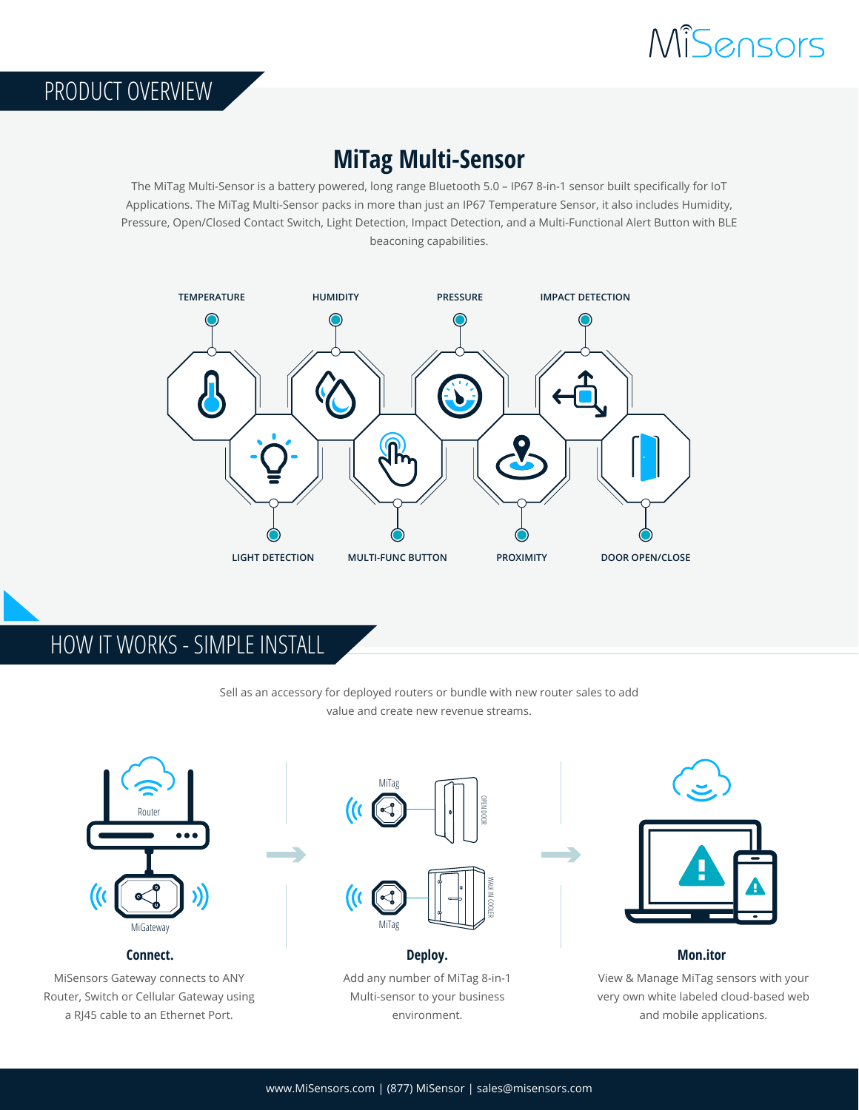

## **MiTag Multi-Sensor**

The MiTag Multi-Sensor is a battery powered, long range Bluetooth 5.0 – IP67 8-in-1 sensor built specifically for IoT Applications. The MiTag Multi-Sensor packs in more than just an IP67 Temperature Sensor, it also includes Humidity, Pressure, Open/Closed Contact Switch, Light Detection, Impact Detection, and a Multi-Functional Alert Button with BLE beaconing capabilities.



HOW IT WORKS - SIMPLE INSTALL

PRODUCT OVERVIEW

Sell as an accessory for deployed routers or bundle with new router sales to add value and create new revenue streams.



MiSensors Gateway connects to ANY Router, Switch or Cellular Gateway using a RJ45 cable to an Ethernet Port.



Add any number of MiTag 8-in-1 Multi-sensor to your business environment.



View & Manage MiTag sensors with your very own white labeled cloud-based web and mobile applications.